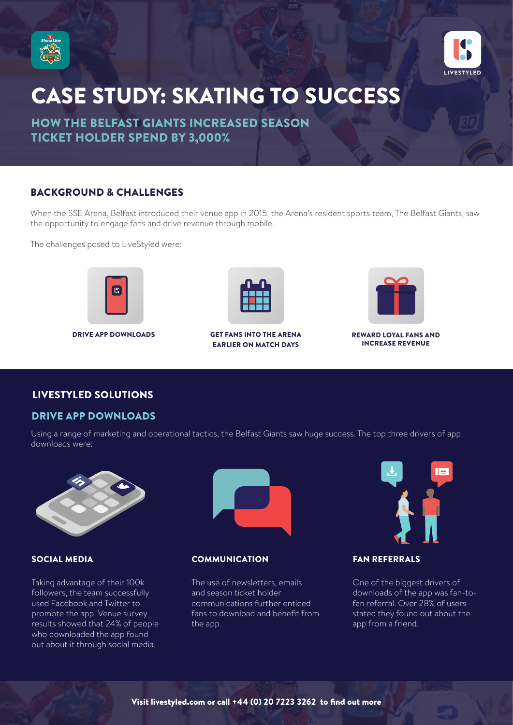



# CASE STUDY: SKATING TO SUCCESS

HOW THE BELFAST GIANTS INCREASED SEASON TICKET HOLDER SPEND BY 3,000%

# BACKGROUND & CHALLENGES

When the SSE Arena, Belfast introduced their venue app in 2015, the Arena's resident sports team, The Belfast Giants, saw the opportunity to engage fans and drive revenue through mobile.

The challenges posed to LiveStyled were:





#### DRIVE APP DOWNLOADS GET FANS INTO THE ARENA EARLIER ON MATCH DAYS



#### REWARD LOYAL FANS AND INCREASE REVENUE

# LIVESTYLED SOLUTIONS

# DRIVE APP DOWNLOADS

Using a range of marketing and operational tactics, the Belfast Giants saw huge success. The top three drivers of app downloads were:



Taking advantage of their 100k followers, the team successfully used Facebook and Twitter to promote the app. Venue survey results showed that 24% of people who downloaded the app found out about it through social media.



### SOCIAL MEDIA COMMUNICATION

The use of newsletters, emails and season ticket holder communications further enticed fans to download and benefit from the app.



# FAN REFERRALS

One of the biggest drivers of downloads of the app was fan-tofan referral. Over 28% of users stated they found out about the app from a friend.